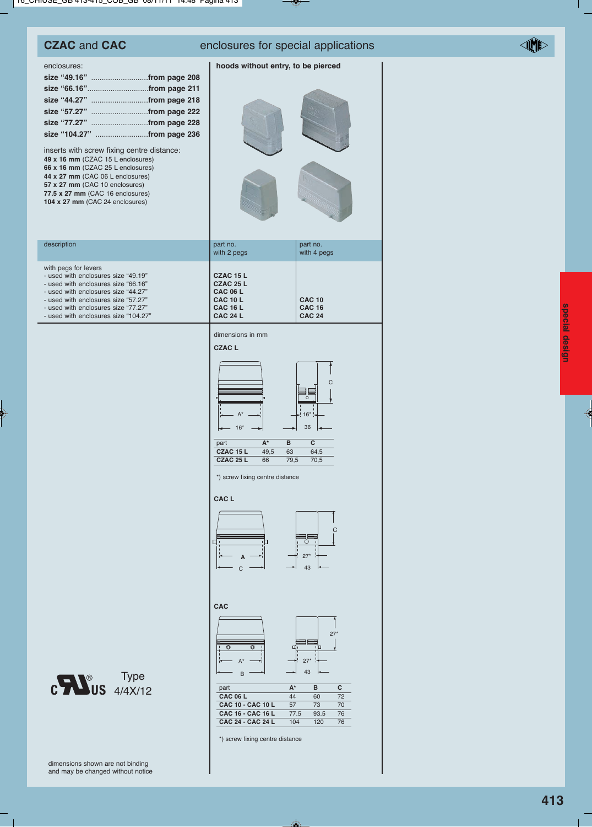## **CZAC** and **CAC** enclosures for special applications

### **hoods without entry, to be pierced**

| enclosures: |  |
|-------------|--|
|             |  |
|             |  |
|             |  |
|             |  |
|             |  |
|             |  |

inserts with screw fixing centre distance: **49 x 16 mm** (CZAC 15 L enclosures) **66 x 16 mm** (CZAC 25 L enclosures) **44 x 27 mm** (CAC 06 L enclosures) **57 x 27 mm** (CAC 10 enclosures) **77.5 x 27 mm** (CAC 16 enclosures) **104 x 27 mm** (CAC 24 enclosures)

| 2 |  |
|---|--|
|   |  |
|   |  |

| description                                                                                                                                                                                                                                                     | part no.<br>with 2 pegs                                                                            | part no.<br>with 4 pegs                         |
|-----------------------------------------------------------------------------------------------------------------------------------------------------------------------------------------------------------------------------------------------------------------|----------------------------------------------------------------------------------------------------|-------------------------------------------------|
| with pegs for levers<br>- used with enclosures size "49.19"<br>- used with enclosures size "66.16"<br>- used with enclosures size "44.27"<br>- used with enclosures size "57.27"<br>- used with enclosures size "77.27"<br>- used with enclosures size "104.27" | CZAC 15 L<br>CZAC 25 L<br><b>CAC 06 L</b><br><b>CAC 10 L</b><br><b>CAC 16 L</b><br><b>CAC 24 L</b> | <b>CAC 10</b><br><b>CAC 16</b><br><b>CAC 24</b> |
|                                                                                                                                                                                                                                                                 |                                                                                                    |                                                 |

dimensions in mm



\*) screw fixing centre distance

#### **CAC L**



**CAC**



| part                     | $A^*$ | R    |    |
|--------------------------|-------|------|----|
| <b>CAC 06 L</b>          | 44    | 60   | 72 |
| <b>CAC 10 - CAC 10 L</b> | 57    | 73   | 70 |
| <b>CAC 16 - CAC 16 L</b> | 77.5  | 93.5 | 76 |
| CAC 24 - CAC 24 L        | 104   | 120  | 76 |

special design **special design**

Type 4/4X/12

\*) screw fixing centre distance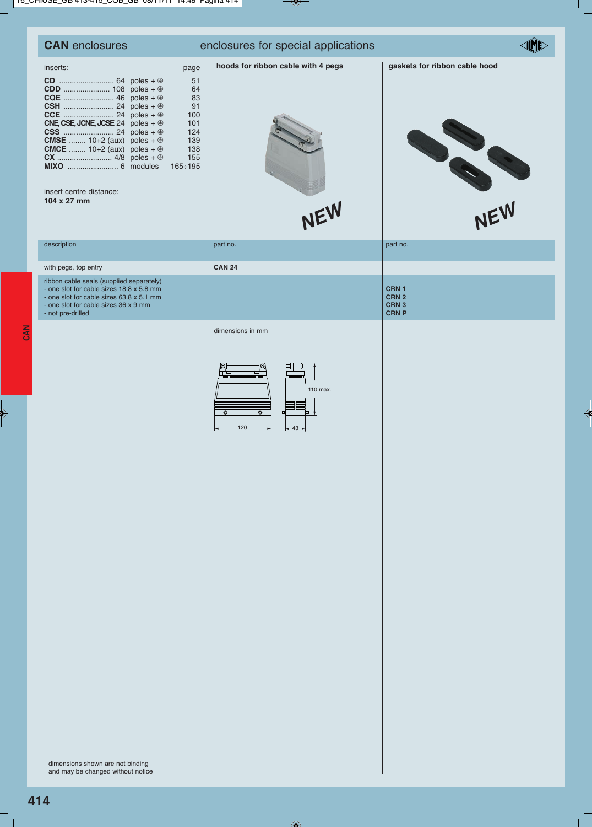| <b>CAN</b> enclosures                                                                                                                                                                                          | enclosures for special applications                                                                         |                                                               |  |
|----------------------------------------------------------------------------------------------------------------------------------------------------------------------------------------------------------------|-------------------------------------------------------------------------------------------------------------|---------------------------------------------------------------|--|
| inserts:<br>page<br>CNE, CSE, JCNE, JCSE 24 poles + $\oplus$<br><b>CMSE</b> 10+2 (aux) poles + $\oplus$<br><b>CMCE</b> 10+2 (aux) poles + $\oplus$<br>$165 \div 195$<br>insert centre distance:<br>104 x 27 mm | hoods for ribbon cable with 4 pegs<br>51<br>64<br>83<br>91<br>100<br>101<br>124<br>139<br>138<br>155<br>NEW | gaskets for ribbon cable hood<br>NEW                          |  |
| description                                                                                                                                                                                                    | part no.                                                                                                    | part no.                                                      |  |
| with pegs, top entry                                                                                                                                                                                           | <b>CAN 24</b>                                                                                               |                                                               |  |
| ribbon cable seals (supplied separately)<br>- one slot for cable sizes 18.8 x 5.8 mm<br>- one slot for cable sizes 63.8 x 5.1 mm<br>- one slot for cable sizes 36 x 9 mm<br>- not pre-drilled                  |                                                                                                             | CRN 1<br>CRN <sub>2</sub><br>CRN <sub>3</sub><br><b>CRN P</b> |  |
| dimensions shown are not binding<br>and may be changed without notice                                                                                                                                          | 110 max.<br>$\overline{\bullet}$<br>O<br>120<br>$+43+$                                                      |                                                               |  |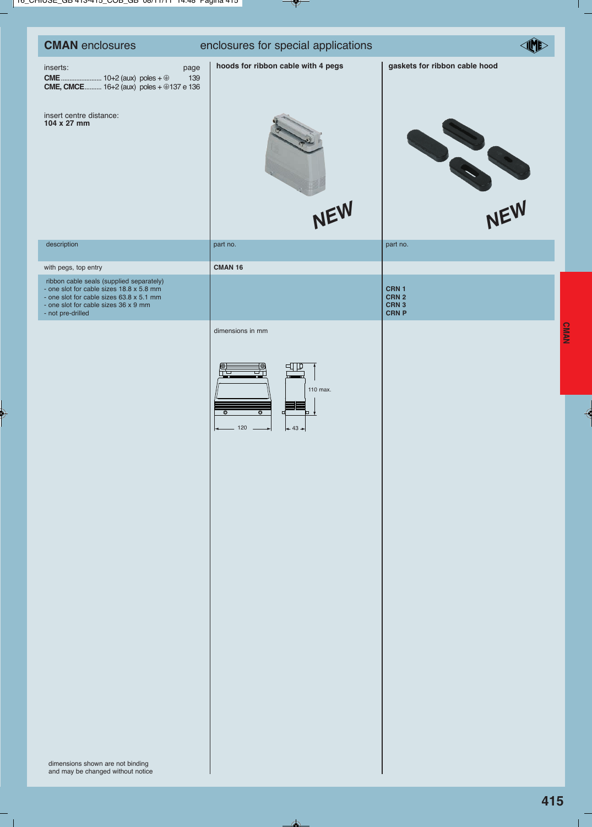| <b>CMAN</b> enclosures                                                                                                                                                                        | enclosures for special applications                                                        |                                                               |
|-----------------------------------------------------------------------------------------------------------------------------------------------------------------------------------------------|--------------------------------------------------------------------------------------------|---------------------------------------------------------------|
| inserts:<br>page<br>139<br><b>CME, CMCE</b> 16+2 (aux) poles $+$ $\circledast$ 137 e 136<br>insert centre distance:<br>104 x 27 mm                                                            | hoods for ribbon cable with 4 pegs<br>NEW                                                  | gaskets for ribbon cable hood<br>NEW                          |
| description                                                                                                                                                                                   | part no.                                                                                   | part no.                                                      |
| with pegs, top entry                                                                                                                                                                          | <b>CMAN 16</b>                                                                             |                                                               |
| ribbon cable seals (supplied separately)<br>- one slot for cable sizes 18.8 x 5.8 mm<br>- one slot for cable sizes 63.8 x 5.1 mm<br>- one slot for cable sizes 36 x 9 mm<br>- not pre-drilled |                                                                                            | CRN 1<br>CRN <sub>2</sub><br>CRN <sub>3</sub><br><b>CRN P</b> |
| dimensions shown are not binding<br>and may be changed without notice                                                                                                                         | ╓╺<br>110 max.<br>$\overline{\bullet}$<br>$\overline{\bullet}$<br>¤<br>o.<br>120<br>$+43+$ |                                                               |

**CMAN**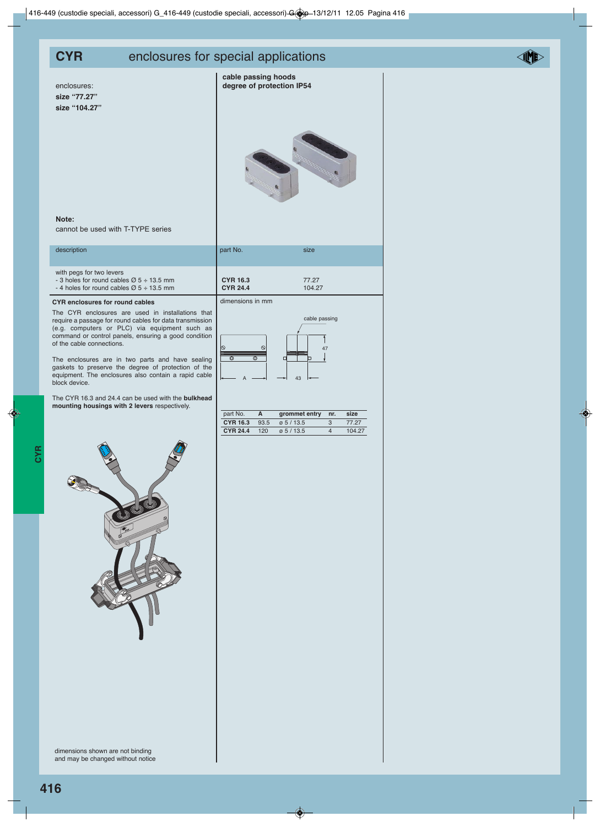## **CYR** enclosures for special applications

enclosures: **size "77.27" size "104.27"** **cable passing hoods degree of protection IP54**





### **Note:**

cannot be used with T-TYPE series

| description                                                                                                                              | part No.                           | size            |
|------------------------------------------------------------------------------------------------------------------------------------------|------------------------------------|-----------------|
| with pegs for two levers<br>- 3 holes for round cables $\varnothing$ 5 ÷ 13.5 mm<br>- 4 holes for round cables $\varnothing$ 5 ÷ 13.5 mm | <b>CYR 16.3</b><br><b>CYR 24.4</b> | 77.27<br>104.27 |
| <b>CYR</b> enclosures for round cables                                                                                                   | dimensions in mm                   |                 |

The CYR enclosures are used in installations that require a passage for round cables for data transmission (e.g. computers or PLC) via equipment such as command or control panels, ensuring a good condition of the cable connections.

The enclosures are in two parts and have sealing gaskets to preserve the degree of protection of the equipment. The enclosures also contain a rapid cable block device.

The CYR 16.3 and 24.4 can be used with the **bulkhead mounting housings with 2 levers** respectively.

| <b>CYR 16.3</b><br><b>CYR 24.4</b> | 77.27<br>104.27     |
|------------------------------------|---------------------|
| dimensions in mm                   |                     |
| $\circ$<br>$\mathcal{O}$<br>Ō.     | cable passing<br>47 |

 $A \rightarrow 43$ 

| part No.        |      |               |     | size   |
|-----------------|------|---------------|-----|--------|
|                 |      | grommet entry | nr. |        |
| <b>CYR 16.3</b> | 93.5 | 0.5/13.5      |     | 77 27  |
| <b>CYR 24.4</b> | 120  | 0.5/13.5      |     | 104.27 |



dimensions shown are not binding and may be changed without notice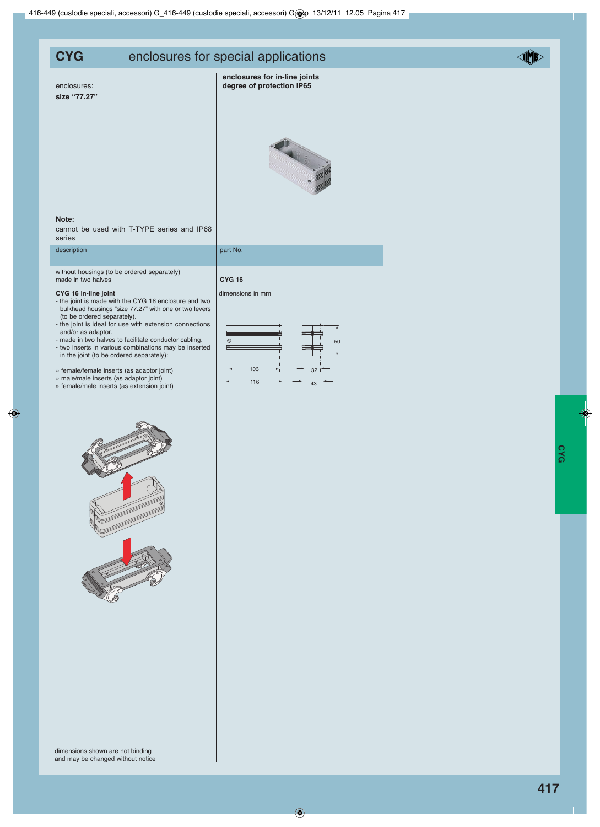dimensions shown are not binding

## **CYG** enclosures for special applications

enclosures: **size "77.27"**

| enclosures for in-line joints |  |  |
|-------------------------------|--|--|
| degree of protection IP65     |  |  |



### **Note:**

cannot be used with T-TYPE series and IP68 series

description and the contract of the contract of the part No.

without housings (to be ordered separately) made in two halves **CYG 16** 

#### **CYG 16 in-line joint** dimensions in mm

- the joint is made with the CYG 16 enclosure and two bulkhead housings "size 77.27" with one or two levers (to be ordered separately).
- the joint is ideal for use with extension connections and/or as adaptor.
- made in two halves to facilitate conductor cabling. - two inserts in various combinations may be inserted
- in the joint (to be ordered separately):
- » female/female inserts (as adaptor joint)
- » male/male inserts (as adaptor joint) » female/male inserts (as extension joint)







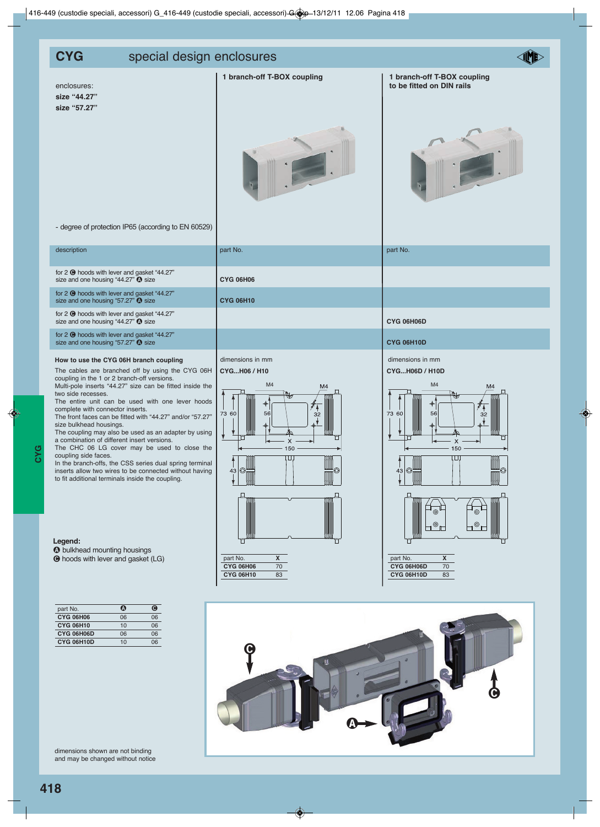| - degree of protection IP65 (according to EN 60529)                                                                                                                                                                                                                                                                                                                                                                                                                                                                                                                                                                                                                                                                                                                                                                                                                           |                                                                                                                                                                                                                        |                                                                                                                                                                                                                  |
|-------------------------------------------------------------------------------------------------------------------------------------------------------------------------------------------------------------------------------------------------------------------------------------------------------------------------------------------------------------------------------------------------------------------------------------------------------------------------------------------------------------------------------------------------------------------------------------------------------------------------------------------------------------------------------------------------------------------------------------------------------------------------------------------------------------------------------------------------------------------------------|------------------------------------------------------------------------------------------------------------------------------------------------------------------------------------------------------------------------|------------------------------------------------------------------------------------------------------------------------------------------------------------------------------------------------------------------|
| description                                                                                                                                                                                                                                                                                                                                                                                                                                                                                                                                                                                                                                                                                                                                                                                                                                                                   | part No.                                                                                                                                                                                                               | part No.                                                                                                                                                                                                         |
| for 2 $\Theta$ hoods with lever and gasket "44.27"<br>size and one housing "44.27" <b>O</b> size                                                                                                                                                                                                                                                                                                                                                                                                                                                                                                                                                                                                                                                                                                                                                                              | <b>CYG 06H06</b>                                                                                                                                                                                                       |                                                                                                                                                                                                                  |
| for 2 @ hoods with lever and gasket "44.27"<br>size and one housing "57.27" @ size                                                                                                                                                                                                                                                                                                                                                                                                                                                                                                                                                                                                                                                                                                                                                                                            | <b>CYG 06H10</b>                                                                                                                                                                                                       |                                                                                                                                                                                                                  |
| for 2 <sup>O</sup> hoods with lever and gasket "44.27"<br>size and one housing "44.27" @ size                                                                                                                                                                                                                                                                                                                                                                                                                                                                                                                                                                                                                                                                                                                                                                                 |                                                                                                                                                                                                                        | CYG 06H06D                                                                                                                                                                                                       |
| for 2 <sup>O</sup> hoods with lever and gasket "44.27"<br>size and one housing "57.27" @ size                                                                                                                                                                                                                                                                                                                                                                                                                                                                                                                                                                                                                                                                                                                                                                                 |                                                                                                                                                                                                                        | <b>CYG 06H10D</b>                                                                                                                                                                                                |
| How to use the CYG 06H branch coupling<br>The cables are branched off by using the CYG 06H<br>coupling in the 1 or 2 branch-off versions.<br>Multi-pole inserts "44.27" size can be fitted inside the<br>two side recesses.<br>The entire unit can be used with one lever hoods<br>complete with connector inserts.<br>The front faces can be fitted with "44.27" and/or "57.27"<br>size bulkhead housings.<br>The coupling may also be used as an adapter by using<br>a combination of different insert versions.<br>The CHC 06 LG cover may be used to close the<br>coupling side faces.<br>In the branch-offs, the CSS series dual spring terminal<br>inserts allow two wires to be connected without having<br>to fit additional terminals inside the coupling.<br>Legend:<br><b><sup>1</sup></b> bulkhead mounting housings<br><b>O</b> hoods with lever and gasket (LG) | dimensions in mm<br>CYGH06 / H10<br>M <sub>4</sub><br>M4<br>73 60<br>56<br>32<br>г<br>X<br>150<br>$\perp$<br>O<br>43 <br>▥▥<br>₩<br>$\pmb{\mathsf{X}}$<br>part No.<br><b>CYG 06H06</b><br>70<br><b>CYG 06H10</b><br>83 | dimensions in mm<br>CYGH06D / H10D<br>M4<br>M4<br>◆<br>73 60<br>56<br>32<br>X<br>150<br>$\perp$<br> ⊙<br>43 <br>⊚<br>⊚<br>⊚<br>$\pmb{\mathsf{X}}$<br>part No.<br>CYG 06H06D<br>$70\,$<br><b>CYG 06H10D</b><br>83 |
| $\overline{\mathbf{O}}$<br>$\bullet$<br>part No.<br><b>CYG 06H06</b><br>06<br>06<br><b>CYG 06H10</b><br>10<br>06<br>CYG 06H06D<br>06<br>06<br>CYG 06H10D<br>10<br>06<br>dimensions shown are not binding<br>and may be changed without notice                                                                                                                                                                                                                                                                                                                                                                                                                                                                                                                                                                                                                                 |                                                                                                                                                                                                                        |                                                                                                                                                                                                                  |

# **CYG** special design enclosures

**size "44.27" size "57.27"** **1 branch-off T-BOX coupling 1 branch-off T-BOX coupling** 

enclosures:<br> **to be fitted on DIN rails**<br> **to be fitted on DIN rails** 





# **IND**